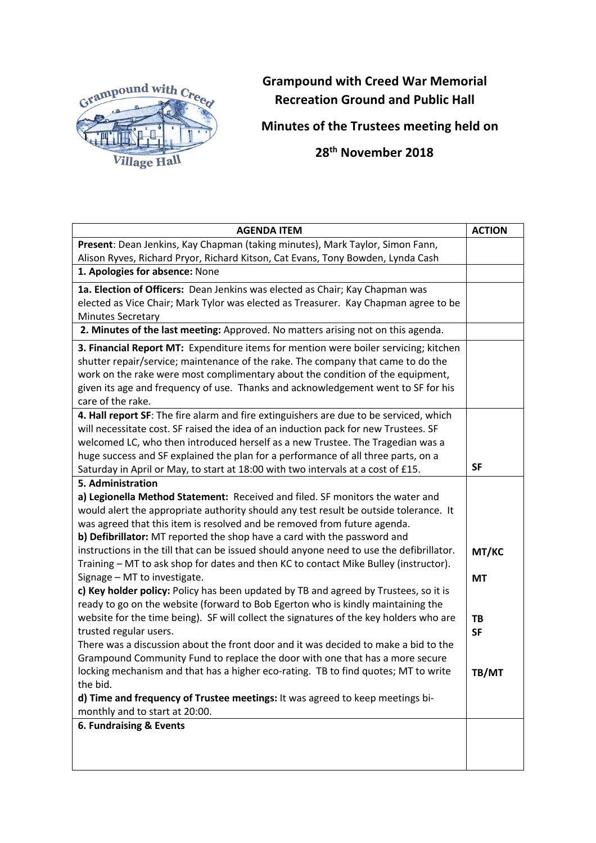

## **Grampound with Creed War Memorial Recreation Ground and Public Hall**

**Minutes of the Trustees meeting held on**

 **28th November 2018**

| <b>AGENDA ITEM</b>                                                                       | <b>ACTION</b> |
|------------------------------------------------------------------------------------------|---------------|
| Present: Dean Jenkins, Kay Chapman (taking minutes), Mark Taylor, Simon Fann,            |               |
| Alison Ryves, Richard Pryor, Richard Kitson, Cat Evans, Tony Bowden, Lynda Cash          |               |
| 1. Apologies for absence: None                                                           |               |
| 1a. Election of Officers: Dean Jenkins was elected as Chair; Kay Chapman was             |               |
| elected as Vice Chair; Mark Tylor was elected as Treasurer. Kay Chapman agree to be      |               |
| <b>Minutes Secretary</b>                                                                 |               |
| 2. Minutes of the last meeting: Approved. No matters arising not on this agenda.         |               |
| 3. Financial Report MT: Expenditure items for mention were boiler servicing; kitchen     |               |
| shutter repair/service; maintenance of the rake. The company that came to do the         |               |
| work on the rake were most complimentary about the condition of the equipment,           |               |
| given its age and frequency of use. Thanks and acknowledgement went to SF for his        |               |
| care of the rake.                                                                        |               |
| 4. Hall report SF: The fire alarm and fire extinguishers are due to be serviced, which   |               |
| will necessitate cost. SF raised the idea of an induction pack for new Trustees. SF      |               |
| welcomed LC, who then introduced herself as a new Trustee. The Tragedian was a           |               |
| huge success and SF explained the plan for a performance of all three parts, on a        |               |
| Saturday in April or May, to start at 18:00 with two intervals at a cost of £15.         | <b>SF</b>     |
| 5. Administration                                                                        |               |
| a) Legionella Method Statement: Received and filed. SF monitors the water and            |               |
| would alert the appropriate authority should any test result be outside tolerance. It    |               |
| was agreed that this item is resolved and be removed from future agenda.                 |               |
| b) Defibrillator: MT reported the shop have a card with the password and                 |               |
| instructions in the till that can be issued should anyone need to use the defibrillator. | MT/KC         |
| Training - MT to ask shop for dates and then KC to contact Mike Bulley (instructor).     |               |
| Signage - MT to investigate.                                                             | <b>MT</b>     |
| c) Key holder policy: Policy has been updated by TB and agreed by Trustees, so it is     |               |
| ready to go on the website (forward to Bob Egerton who is kindly maintaining the         |               |
| website for the time being). SF will collect the signatures of the key holders who are   | TB            |
| trusted regular users.                                                                   | <b>SF</b>     |
| There was a discussion about the front door and it was decided to make a bid to the      |               |
| Grampound Community Fund to replace the door with one that has a more secure             |               |
| locking mechanism and that has a higher eco-rating. TB to find quotes; MT to write       | TB/MT         |
| the bid.                                                                                 |               |
| d) Time and frequency of Trustee meetings: It was agreed to keep meetings bi-            |               |
| monthly and to start at 20:00.                                                           |               |
| 6. Fundraising & Events                                                                  |               |
|                                                                                          |               |
|                                                                                          |               |